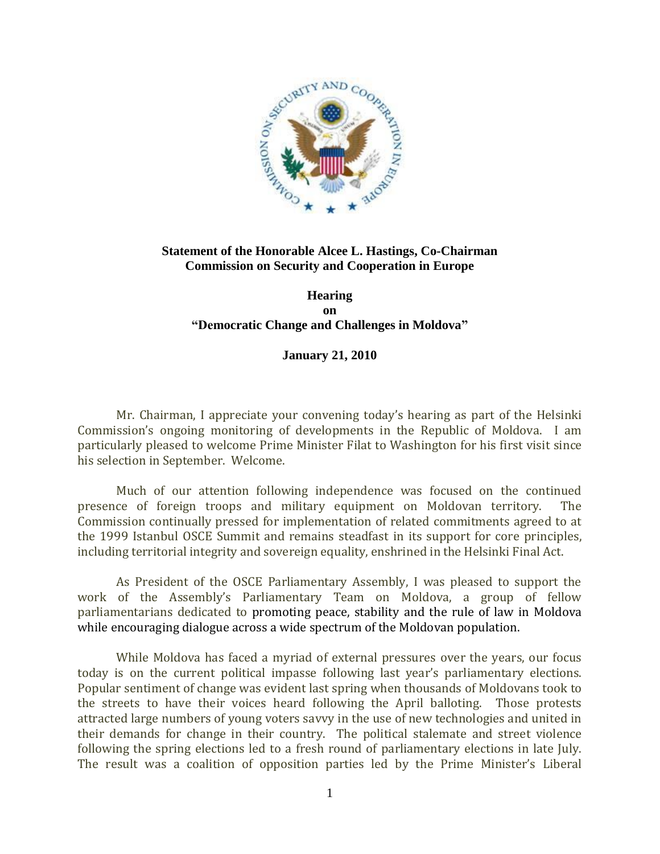

## **Statement of the Honorable Alcee L. Hastings, Co-Chairman Commission on Security and Cooperation in Europe**

## **Hearing on "Democratic Change and Challenges in Moldova"**

## **January 21, 2010**

Mr. Chairman, I appreciate your convening today's hearing as part of the Helsinki Commission's ongoing monitoring of developments in the Republic of Moldova. I am particularly pleased to welcome Prime Minister Filat to Washington for his first visit since his selection in September. Welcome.

Much of our attention following independence was focused on the continued presence of foreign troops and military equipment on Moldovan territory. The Commission continually pressed for implementation of related commitments agreed to at the 1999 Istanbul OSCE Summit and remains steadfast in its support for core principles, including territorial integrity and sovereign equality, enshrined in the Helsinki Final Act.

As President of the OSCE Parliamentary Assembly, I was pleased to support the work of the Assembly's Parliamentary Team on Moldova, a group of fellow parliamentarians dedicated to promoting peace, stability and the rule of law in Moldova while encouraging dialogue across a wide spectrum of the Moldovan population.

While Moldova has faced a myriad of external pressures over the years, our focus today is on the current political impasse following last year's parliamentary elections. Popular sentiment of change was evident last spring when thousands of Moldovans took to the streets to have their voices heard following the April balloting. Those protests attracted large numbers of young voters savvy in the use of new technologies and united in their demands for change in their country. The political stalemate and street violence following the spring elections led to a fresh round of parliamentary elections in late July. The result was a coalition of opposition parties led by the Prime Minister's Liberal